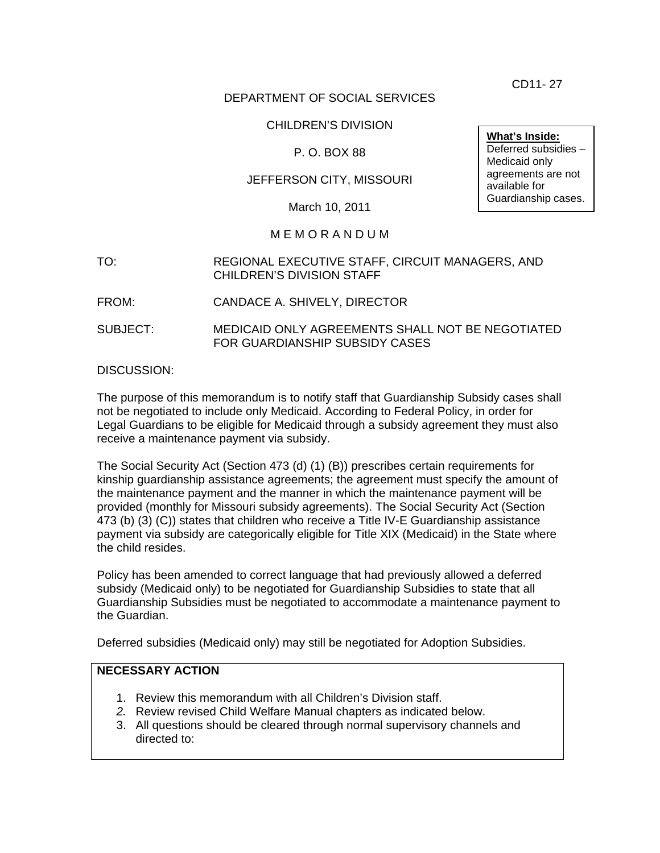CD11- 27

### DEPARTMENT OF SOCIAL SERVICES

### CHILDREN'S DIVISION

### P. O. BOX 88

### JEFFERSON CITY, MISSOURI

March 10, 2011

#### M E M O R A N D U M

- TO: REGIONAL EXECUTIVE STAFF, CIRCUIT MANAGERS, AND CHILDREN'S DIVISION STAFF
- FROM: CANDACE A. SHIVELY, DIRECTOR
- SUBJECT: MEDICAID ONLY AGREEMENTS SHALL NOT BE NEGOTIATED FOR GUARDIANSHIP SUBSIDY CASES

#### DISCUSSION:

The purpose of this memorandum is to notify staff that Guardianship Subsidy cases shall not be negotiated to include only Medicaid. According to Federal Policy, in order for Legal Guardians to be eligible for Medicaid through a subsidy agreement they must also receive a maintenance payment via subsidy.

The Social Security Act (Section 473 (d) (1) (B)) prescribes certain requirements for kinship guardianship assistance agreements; the agreement must specify the amount of the maintenance payment and the manner in which the maintenance payment will be provided (monthly for Missouri subsidy agreements). The Social Security Act (Section 473 (b) (3) (C)) states that children who receive a Title IV-E Guardianship assistance payment via subsidy are categorically eligible for Title XIX (Medicaid) in the State where the child resides.

Policy has been amended to correct language that had previously allowed a deferred subsidy (Medicaid only) to be negotiated for Guardianship Subsidies to state that all Guardianship Subsidies must be negotiated to accommodate a maintenance payment to the Guardian.

Deferred subsidies (Medicaid only) may still be negotiated for Adoption Subsidies.

# **NECESSARY ACTION**

- 1. Review this memorandum with all Children's Division staff.
- *2.* Review revised Child Welfare Manual chapters as indicated below.
- 3. All questions should be cleared through normal supervisory channels and directed to:

**What's Inside:** Deferred subsidies – Medicaid only agreements are not available for Guardianship cases.